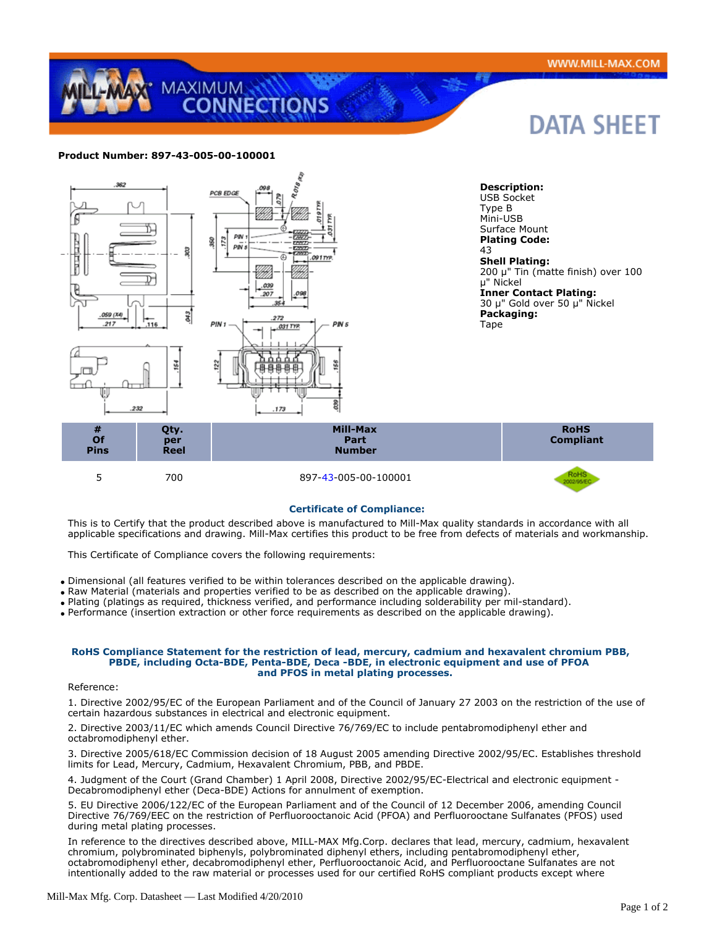# DATA SHEET

## **Product Number: 897-43-005-00-100001**

MAXIMUM



### **Certificate of Compliance:**

This is to Certify that the product described above is manufactured to Mill-Max quality standards in accordance with all applicable specifications and drawing. Mill-Max certifies this product to be free from defects of materials and workmanship.

This Certificate of Compliance covers the following requirements:

Dimensional (all features verified to be within tolerances described on the applicable drawing).

- Raw Material (materials and properties verified to be as described on the applicable drawing).
- Plating (platings as required, thickness verified, and performance including solderability per mil-standard).

Performance (insertion extraction or other force requirements as described on the applicable drawing).

#### **RoHS Compliance Statement for the restriction of lead, mercury, cadmium and hexavalent chromium PBB, PBDE, including Octa-BDE, Penta-BDE, Deca -BDE, in electronic equipment and use of PFOA and PFOS in metal plating processes.**

#### Reference:

1. Directive 2002/95/EC of the European Parliament and of the Council of January 27 2003 on the restriction of the use of certain hazardous substances in electrical and electronic equipment.

2. Directive 2003/11/EC which amends Council Directive 76/769/EC to include pentabromodiphenyl ether and octabromodiphenyl ether.

3. Directive 2005/618/EC Commission decision of 18 August 2005 amending Directive 2002/95/EC. Establishes threshold limits for Lead, Mercury, Cadmium, Hexavalent Chromium, PBB, and PBDE.

4. Judgment of the Court (Grand Chamber) 1 April 2008, Directive 2002/95/EC-Electrical and electronic equipment - Decabromodiphenyl ether (Deca-BDE) Actions for annulment of exemption.

5. EU Directive 2006/122/EC of the European Parliament and of the Council of 12 December 2006, amending Council Directive 76/769/EEC on the restriction of Perfluorooctanoic Acid (PFOA) and Perfluorooctane Sulfanates (PFOS) used during metal plating processes.

In reference to the directives described above, MILL-MAX Mfg.Corp. declares that lead, mercury, cadmium, hexavalent chromium, polybrominated biphenyls, polybrominated diphenyl ethers, including pentabromodiphenyl ether, octabromodiphenyl ether, decabromodiphenyl ether, Perfluorooctanoic Acid, and Perfluorooctane Sulfanates are not intentionally added to the raw material or processes used for our certified RoHS compliant products except where